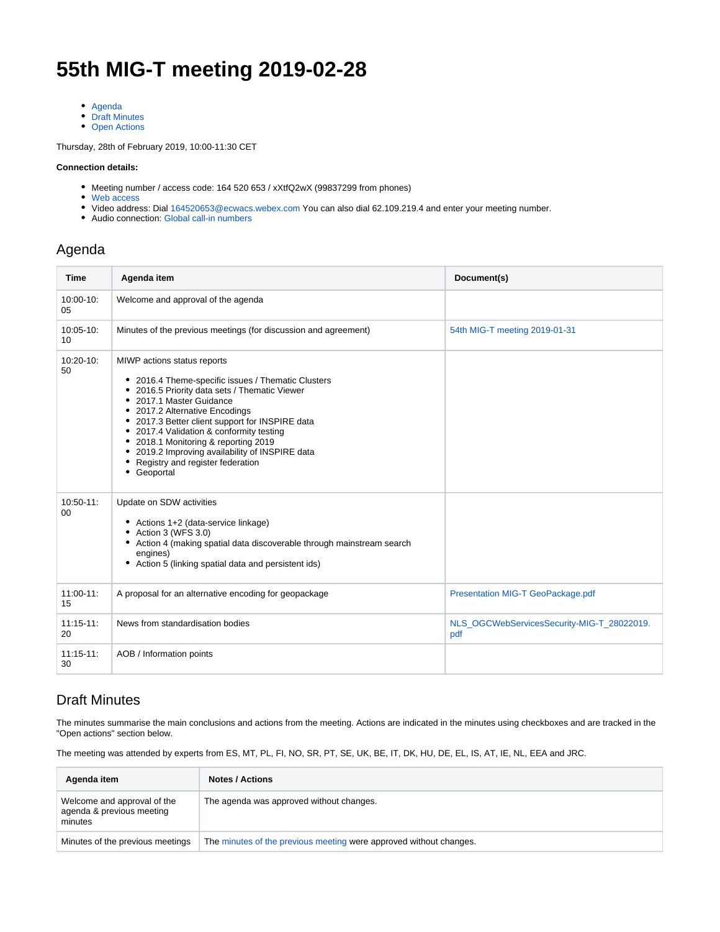## **55th MIG-T meeting 2019-02-28**

- [Agenda](#page-0-0)
- [Draft Minutes](#page-0-1)
- [Open Actions](#page-2-0)

Thursday, 28th of February 2019, 10:00-11:30 CET

## **Connection details:**

- Meeting number / access code: 164 520 653 / xXtfQ2wX (99837299 from phones)
- [Web access](https://ecwacs.webex.com/ecwacs/j.php?MTID=md2b45042e0a47e5bb675d7d02d4aa723)
- Video address: Dial [164520653@ecwacs.webex.com](mailto:164520653@ecwacs.webex.com) You can also dial 62.109.219.4 and enter your meeting number.
- Audio connection: Global call-in numbers

## <span id="page-0-0"></span>Agenda

| <b>Time</b>         | Agenda item                                                                                                                                                                                                                                                                                                                                                                                                                                 | Document(s)                                       |
|---------------------|---------------------------------------------------------------------------------------------------------------------------------------------------------------------------------------------------------------------------------------------------------------------------------------------------------------------------------------------------------------------------------------------------------------------------------------------|---------------------------------------------------|
| 10:00-10:<br>05     | Welcome and approval of the agenda                                                                                                                                                                                                                                                                                                                                                                                                          |                                                   |
| 10:05-10:<br>10     | Minutes of the previous meetings (for discussion and agreement)                                                                                                                                                                                                                                                                                                                                                                             | 54th MIG-T meeting 2019-01-31                     |
| 10:20-10:<br>50     | MIWP actions status reports<br>• 2016.4 Theme-specific issues / Thematic Clusters<br>2016.5 Priority data sets / Thematic Viewer<br>• 2017.1 Master Guidance<br>• 2017.2 Alternative Encodings<br>• 2017.3 Better client support for INSPIRE data<br>• 2017.4 Validation & conformity testing<br>• 2018.1 Monitoring & reporting 2019<br>• 2019.2 Improving availability of INSPIRE data<br>Registry and register federation<br>• Geoportal |                                                   |
| $10:50-11$ :<br>00  | Update on SDW activities<br>• Actions 1+2 (data-service linkage)<br>• Action 3 (WFS 3.0)<br>• Action 4 (making spatial data discoverable through mainstream search<br>engines)<br>• Action 5 (linking spatial data and persistent ids)                                                                                                                                                                                                      |                                                   |
| $11:00-11$ :<br>15  | A proposal for an alternative encoding for geopackage                                                                                                                                                                                                                                                                                                                                                                                       | Presentation MIG-T GeoPackage.pdf                 |
| $11:15 - 11:$<br>20 | News from standardisation bodies                                                                                                                                                                                                                                                                                                                                                                                                            | NLS_OGCWebServicesSecurity-MIG-T_28022019.<br>pdf |
| $11:15-11:$<br>30   | AOB / Information points                                                                                                                                                                                                                                                                                                                                                                                                                    |                                                   |

## <span id="page-0-1"></span>Draft Minutes

The minutes summarise the main conclusions and actions from the meeting. Actions are indicated in the minutes using checkboxes and are tracked in the "Open actions" section below.

The meeting was attended by experts from ES, MT, PL, FI, NO, SR, PT, SE, UK, BE, IT, DK, HU, DE, EL, IS, AT, IE, NL, EEA and JRC.

| Agenda item                                                         | <b>Notes / Actions</b>                                             |
|---------------------------------------------------------------------|--------------------------------------------------------------------|
| Welcome and approval of the<br>agenda & previous meeting<br>minutes | The agenda was approved without changes.                           |
| Minutes of the previous meetings                                    | The minutes of the previous meeting were approved without changes. |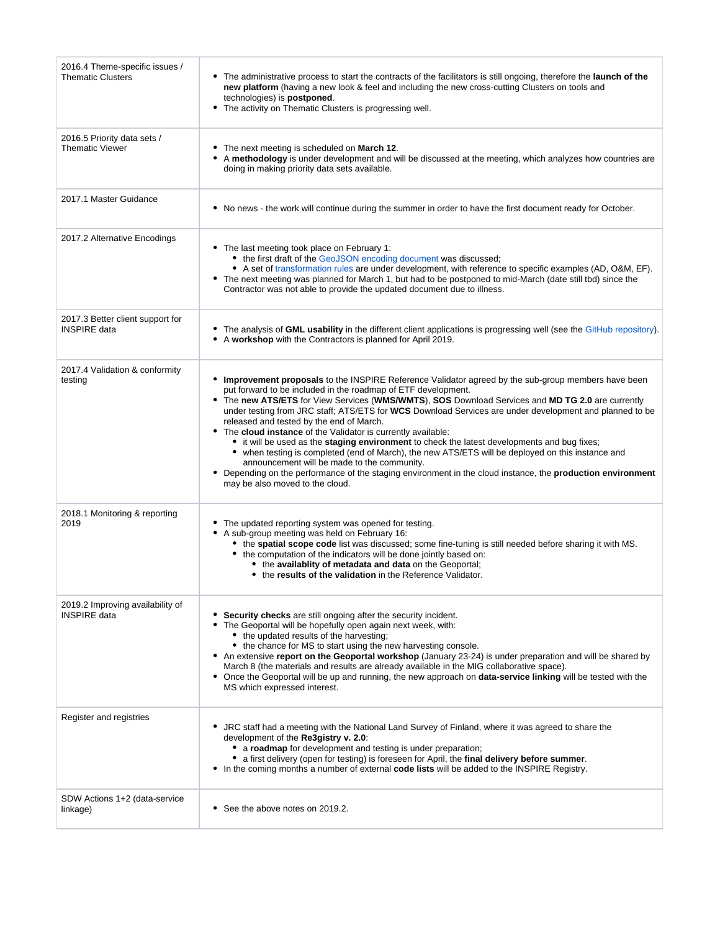| 2016.4 Theme-specific issues /<br><b>Thematic Clusters</b> | • The administrative process to start the contracts of the facilitators is still ongoing, therefore the launch of the<br>new platform (having a new look & feel and including the new cross-cutting Clusters on tools and<br>technologies) is <b>postponed</b> .<br>• The activity on Thematic Clusters is progressing well.                                                                                                                                                                                                                                                                                                                                                                                                                                                                                                                                                                                    |  |  |  |  |
|------------------------------------------------------------|-----------------------------------------------------------------------------------------------------------------------------------------------------------------------------------------------------------------------------------------------------------------------------------------------------------------------------------------------------------------------------------------------------------------------------------------------------------------------------------------------------------------------------------------------------------------------------------------------------------------------------------------------------------------------------------------------------------------------------------------------------------------------------------------------------------------------------------------------------------------------------------------------------------------|--|--|--|--|
| 2016.5 Priority data sets /<br><b>Thematic Viewer</b>      | • The next meeting is scheduled on March 12.<br>• A methodology is under development and will be discussed at the meeting, which analyzes how countries are<br>doing in making priority data sets available.                                                                                                                                                                                                                                                                                                                                                                                                                                                                                                                                                                                                                                                                                                    |  |  |  |  |
| 2017.1 Master Guidance                                     | • No news - the work will continue during the summer in order to have the first document ready for October.                                                                                                                                                                                                                                                                                                                                                                                                                                                                                                                                                                                                                                                                                                                                                                                                     |  |  |  |  |
| 2017.2 Alternative Encodings                               | • The last meeting took place on February 1:<br>• the first draft of the GeoJSON encoding document was discussed;<br>• A set of transformation rules are under development, with reference to specific examples (AD, O&M, EF).<br>• The next meeting was planned for March 1, but had to be postponed to mid-March (date still tbd) since the<br>Contractor was not able to provide the updated document due to illness.                                                                                                                                                                                                                                                                                                                                                                                                                                                                                        |  |  |  |  |
| 2017.3 Better client support for<br><b>INSPIRE</b> data    | • The analysis of GML usability in the different client applications is progressing well (see the GitHub repository).<br>• A workshop with the Contractors is planned for April 2019.                                                                                                                                                                                                                                                                                                                                                                                                                                                                                                                                                                                                                                                                                                                           |  |  |  |  |
| 2017.4 Validation & conformity<br>testing                  | • Improvement proposals to the INSPIRE Reference Validator agreed by the sub-group members have been<br>put forward to be included in the roadmap of ETF development.<br>• The new ATS/ETS for View Services (WMS/WMTS), SOS Download Services and MD TG 2.0 are currently<br>under testing from JRC staff; ATS/ETS for WCS Download Services are under development and planned to be<br>released and tested by the end of March.<br>• The cloud instance of the Validator is currently available:<br>• it will be used as the staging environment to check the latest developments and bug fixes;<br>• when testing is completed (end of March), the new ATS/ETS will be deployed on this instance and<br>announcement will be made to the community.<br>• Depending on the performance of the staging environment in the cloud instance, the <b>production environment</b><br>may be also moved to the cloud. |  |  |  |  |
| 2018.1 Monitoring & reporting<br>2019                      | • The updated reporting system was opened for testing.<br>• A sub-group meeting was held on February 16:<br>• the spatial scope code list was discussed; some fine-tuning is still needed before sharing it with MS.<br>• the computation of the indicators will be done jointly based on:<br>• the availablity of metadata and data on the Geoportal;<br>• the results of the validation in the Reference Validator.                                                                                                                                                                                                                                                                                                                                                                                                                                                                                           |  |  |  |  |
| 2019.2 Improving availability of<br><b>INSPIRE</b> data    | • Security checks are still ongoing after the security incident.<br>• The Geoportal will be hopefully open again next week, with:<br>• the updated results of the harvesting;<br>• the chance for MS to start using the new harvesting console.<br>• An extensive report on the Geoportal workshop (January 23-24) is under preparation and will be shared by<br>March 8 (the materials and results are already available in the MIG collaborative space).<br>• Once the Geoportal will be up and running, the new approach on data-service linking will be tested with the<br>MS which expressed interest.                                                                                                                                                                                                                                                                                                     |  |  |  |  |
| Register and registries                                    | • JRC staff had a meeting with the National Land Survey of Finland, where it was agreed to share the<br>development of the Re3gistry v. 2.0:<br>• a roadmap for development and testing is under preparation;<br>• a first delivery (open for testing) is foreseen for April, the final delivery before summer.<br>In the coming months a number of external code lists will be added to the INSPIRE Registry.<br>٠                                                                                                                                                                                                                                                                                                                                                                                                                                                                                             |  |  |  |  |
| SDW Actions 1+2 (data-service<br>linkage)                  | • See the above notes on 2019.2.                                                                                                                                                                                                                                                                                                                                                                                                                                                                                                                                                                                                                                                                                                                                                                                                                                                                                |  |  |  |  |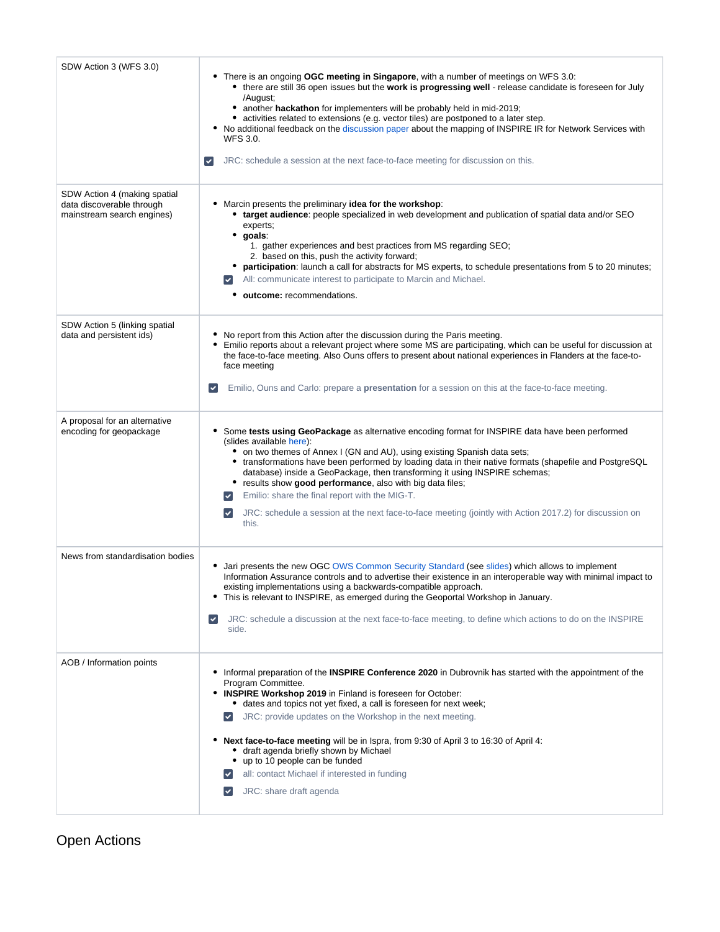| SDW Action 3 (WFS 3.0)                                                                  | • There is an ongoing OGC meeting in Singapore, with a number of meetings on WFS 3.0:<br>• there are still 36 open issues but the work is progressing well - release candidate is foreseen for July<br>/August;<br>• another hackathon for implementers will be probably held in mid-2019;<br>activities related to extensions (e.g. vector tiles) are postponed to a later step.<br>• No additional feedback on the discussion paper about the mapping of INSPIRE IR for Network Services with<br>WFS 3.0.<br>$\blacktriangledown$<br>JRC: schedule a session at the next face-to-face meeting for discussion on this.                                                                    |
|-----------------------------------------------------------------------------------------|--------------------------------------------------------------------------------------------------------------------------------------------------------------------------------------------------------------------------------------------------------------------------------------------------------------------------------------------------------------------------------------------------------------------------------------------------------------------------------------------------------------------------------------------------------------------------------------------------------------------------------------------------------------------------------------------|
| SDW Action 4 (making spatial<br>data discoverable through<br>mainstream search engines) | • Marcin presents the preliminary idea for the workshop:<br>• target audience: people specialized in web development and publication of spatial data and/or SEO<br>experts;<br>goals:<br>٠<br>1. gather experiences and best practices from MS regarding SEO;<br>2. based on this, push the activity forward;<br>participation: launch a call for abstracts for MS experts, to schedule presentations from 5 to 20 minutes;<br>All: communicate interest to participate to Marcin and Michael.<br>$\blacktriangledown$<br>outcome: recommendations.                                                                                                                                        |
| SDW Action 5 (linking spatial<br>data and persistent ids)                               | • No report from this Action after the discussion during the Paris meeting.<br>• Emilio reports about a relevant project where some MS are participating, which can be useful for discussion at<br>the face-to-face meeting. Also Ouns offers to present about national experiences in Flanders at the face-to-<br>face meeting<br>Emilio, Ouns and Carlo: prepare a presentation for a session on this at the face-to-face meeting.<br>$\checkmark$                                                                                                                                                                                                                                       |
| A proposal for an alternative<br>encoding for geopackage                                | Some tests using GeoPackage as alternative encoding format for INSPIRE data have been performed<br>٠<br>(slides available here):<br>• on two themes of Annex I (GN and AU), using existing Spanish data sets;<br>• transformations have been performed by loading data in their native formats (shapefile and PostgreSQL<br>database) inside a GeoPackage, then transforming it using INSPIRE schemas;<br>• results show good performance, also with big data files;<br>Emilio: share the final report with the MIG-T.<br>$\blacktriangledown$<br>JRC: schedule a session at the next face-to-face meeting (jointly with Action 2017.2) for discussion on<br>$\blacktriangledown$<br>this. |
| News from standardisation bodies                                                        | Jari presents the new OGC OWS Common Security Standard (see slides) which allows to implement<br>Information Assurance controls and to advertise their existence in an interoperable way with minimal impact to<br>existing implementations using a backwards-compatible approach.<br>This is relevant to INSPIRE, as emerged during the Geoportal Workshop in January.<br>JRC: schedule a discussion at the next face-to-face meeting, to define which actions to do on the INSPIRE<br>$\checkmark$<br>side.                                                                                                                                                                              |
| AOB / Information points                                                                | Informal preparation of the <b>INSPIRE Conference 2020</b> in Dubrovnik has started with the appointment of the<br>Program Committee.<br>• INSPIRE Workshop 2019 in Finland is foreseen for October:<br>• dates and topics not yet fixed, a call is foreseen for next week;<br>JRC: provide updates on the Workshop in the next meeting.<br>$\blacktriangledown$<br>• Next face-to-face meeting will be in Ispra, from 9:30 of April 3 to 16:30 of April 4:<br>draft agenda briefly shown by Michael<br>up to 10 people can be funded<br>all: contact Michael if interested in funding<br>JRC: share draft agenda                                                                          |

<span id="page-2-0"></span>Open Actions